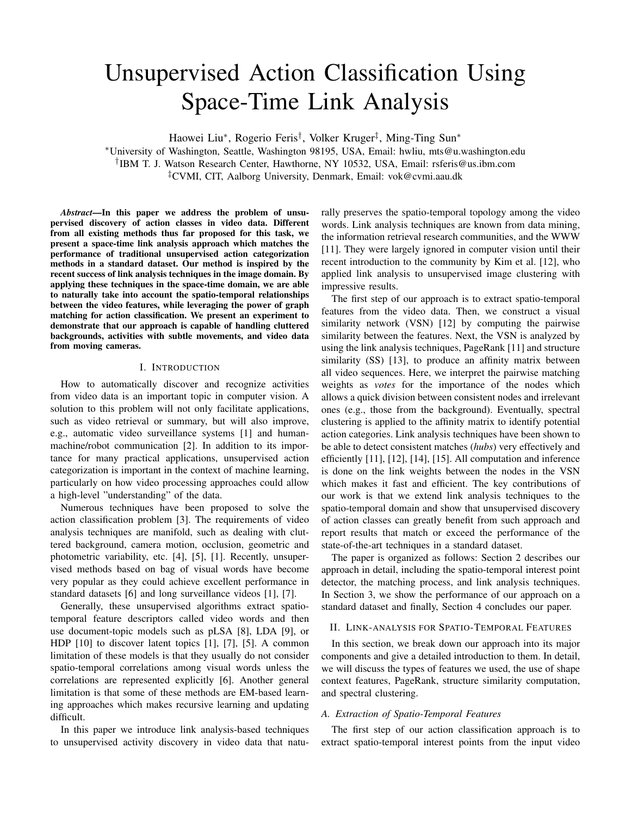# Unsupervised Action Classification Using Space-Time Link Analysis

Haowei Liu<sup>∗</sup> , Rogerio Feris† , Volker Kruger‡ , Ming-Ting Sun<sup>∗</sup>

<sup>∗</sup>University of Washington, Seattle, Washington 98195, USA, Email: hwliu, mts@u.washington.edu † IBM T. J. Watson Research Center, Hawthorne, NY 10532, USA, Email: rsferis@us.ibm.com

‡CVMI, CIT, Aalborg University, Denmark, Email: vok@cvmi.aau.dk

*Abstract*—In this paper we address the problem of unsupervised discovery of action classes in video data. Different from all existing methods thus far proposed for this task, we present a space-time link analysis approach which matches the performance of traditional unsupervised action categorization methods in a standard dataset. Our method is inspired by the recent success of link analysis techniques in the image domain. By applying these techniques in the space-time domain, we are able to naturally take into account the spatio-temporal relationships between the video features, while leveraging the power of graph matching for action classification. We present an experiment to demonstrate that our approach is capable of handling cluttered backgrounds, activities with subtle movements, and video data from moving cameras.

## I. INTRODUCTION

How to automatically discover and recognize activities from video data is an important topic in computer vision. A solution to this problem will not only facilitate applications, such as video retrieval or summary, but will also improve, e.g., automatic video surveillance systems [1] and humanmachine/robot communication [2]. In addition to its importance for many practical applications, unsupervised action categorization is important in the context of machine learning, particularly on how video processing approaches could allow a high-level "understanding" of the data.

Numerous techniques have been proposed to solve the action classification problem [3]. The requirements of video analysis techniques are manifold, such as dealing with cluttered background, camera motion, occlusion, geometric and photometric variability, etc. [4], [5], [1]. Recently, unsupervised methods based on bag of visual words have become very popular as they could achieve excellent performance in standard datasets [6] and long surveillance videos [1], [7].

Generally, these unsupervised algorithms extract spatiotemporal feature descriptors called video words and then use document-topic models such as pLSA [8], LDA [9], or HDP [10] to discover latent topics [1], [7], [5]. A common limitation of these models is that they usually do not consider spatio-temporal correlations among visual words unless the correlations are represented explicitly [6]. Another general limitation is that some of these methods are EM-based learning approaches which makes recursive learning and updating difficult.

In this paper we introduce link analysis-based techniques to unsupervised activity discovery in video data that naturally preserves the spatio-temporal topology among the video words. Link analysis techniques are known from data mining, the information retrieval research communities, and the WWW [11]. They were largely ignored in computer vision until their recent introduction to the community by Kim et al. [12], who applied link analysis to unsupervised image clustering with impressive results.

The first step of our approach is to extract spatio-temporal features from the video data. Then, we construct a visual similarity network (VSN) [12] by computing the pairwise similarity between the features. Next, the VSN is analyzed by using the link analysis techniques, PageRank [11] and structure similarity (SS) [13], to produce an affinity matrix between all video sequences. Here, we interpret the pairwise matching weights as *votes* for the importance of the nodes which allows a quick division between consistent nodes and irrelevant ones (e.g., those from the background). Eventually, spectral clustering is applied to the affinity matrix to identify potential action categories. Link analysis techniques have been shown to be able to detect consistent matches (*hubs*) very effectively and efficiently [11], [12], [14], [15]. All computation and inference is done on the link weights between the nodes in the VSN which makes it fast and efficient. The key contributions of our work is that we extend link analysis techniques to the spatio-temporal domain and show that unsupervised discovery of action classes can greatly benefit from such approach and report results that match or exceed the performance of the state-of-the-art techniques in a standard dataset.

The paper is organized as follows: Section 2 describes our approach in detail, including the spatio-temporal interest point detector, the matching process, and link analysis techniques. In Section 3, we show the performance of our approach on a standard dataset and finally, Section 4 concludes our paper.

#### II. LINK-ANALYSIS FOR SPATIO-TEMPORAL FEATURES

In this section, we break down our approach into its major components and give a detailed introduction to them. In detail, we will discuss the types of features we used, the use of shape context features, PageRank, structure similarity computation, and spectral clustering.

## *A. Extraction of Spatio-Temporal Features*

The first step of our action classification approach is to extract spatio-temporal interest points from the input video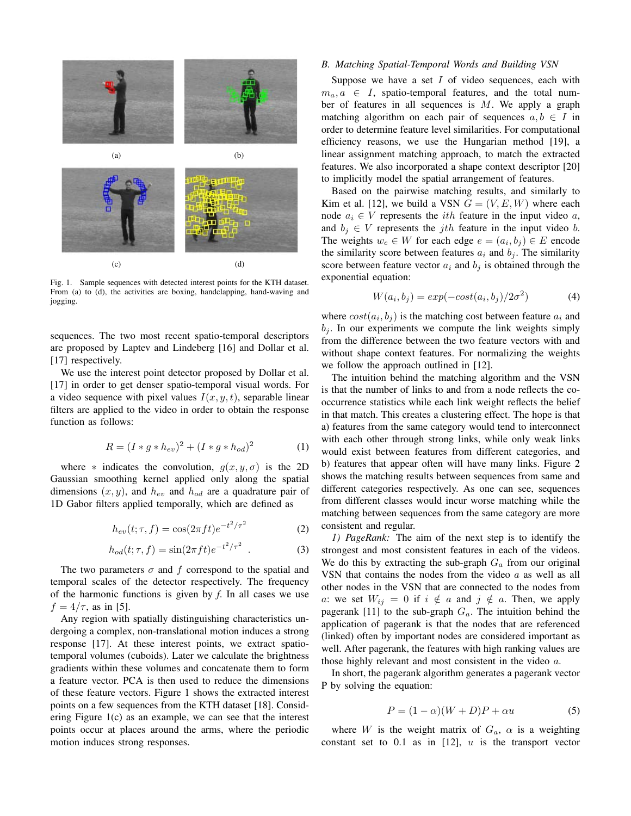

Fig. 1. Sample sequences with detected interest points for the KTH dataset. From (a) to (d), the activities are boxing, handclapping, hand-waving and jogging.

sequences. The two most recent spatio-temporal descriptors are proposed by Laptev and Lindeberg [16] and Dollar et al. [17] respectively.

We use the interest point detector proposed by Dollar et al. [17] in order to get denser spatio-temporal visual words. For a video sequence with pixel values  $I(x, y, t)$ , separable linear filters are applied to the video in order to obtain the response function as follows:

$$
R = (I * g * h_{ev})^2 + (I * g * h_{od})^2
$$
 (1)

where  $*$  indicates the convolution,  $g(x, y, \sigma)$  is the 2D Gaussian smoothing kernel applied only along the spatial dimensions  $(x, y)$ , and  $h_{ev}$  and  $h_{od}$  are a quadrature pair of 1D Gabor filters applied temporally, which are defined as

$$
h_{ev}(t; \tau, f) = \cos(2\pi ft)e^{-t^2/\tau^2}
$$
 (2)

$$
h_{od}(t; \tau, f) = \sin(2\pi ft)e^{-t^2/\tau^2} \tag{3}
$$

The two parameters  $\sigma$  and f correspond to the spatial and temporal scales of the detector respectively. The frequency of the harmonic functions is given by *f*. In all cases we use  $f = 4/\tau$ , as in [5].

Any region with spatially distinguishing characteristics undergoing a complex, non-translational motion induces a strong response [17]. At these interest points, we extract spatiotemporal volumes (cuboids). Later we calculate the brightness gradients within these volumes and concatenate them to form a feature vector. PCA is then used to reduce the dimensions of these feature vectors. Figure 1 shows the extracted interest points on a few sequences from the KTH dataset [18]. Considering Figure 1(c) as an example, we can see that the interest points occur at places around the arms, where the periodic motion induces strong responses.

#### *B. Matching Spatial-Temporal Words and Building VSN*

Suppose we have a set  $I$  of video sequences, each with  $m_a, a \in I$ , spatio-temporal features, and the total number of features in all sequences is M. We apply a graph matching algorithm on each pair of sequences  $a, b \in I$  in order to determine feature level similarities. For computational efficiency reasons, we use the Hungarian method [19], a linear assignment matching approach, to match the extracted features. We also incorporated a shape context descriptor [20] to implicitly model the spatial arrangement of features.

Based on the pairwise matching results, and similarly to Kim et al. [12], we build a VSN  $G = (V, E, W)$  where each node  $a_i \in V$  represents the *ith* feature in the input video a, and  $b_i \in V$  represents the *j*th feature in the input video *b*. The weights  $w_e \in W$  for each edge  $e = (a_i, b_j) \in E$  encode the similarity score between features  $a_i$  and  $b_j$ . The similarity score between feature vector  $a_i$  and  $b_j$  is obtained through the exponential equation:

$$
W(a_i, b_j) = exp(-\cos t(a_i, b_j)/2\sigma^2)
$$
 (4)

where  $cost(a_i, b_j)$  is the matching cost between feature  $a_i$  and  $b_j$ . In our experiments we compute the link weights simply from the difference between the two feature vectors with and without shape context features. For normalizing the weights we follow the approach outlined in [12].

The intuition behind the matching algorithm and the VSN is that the number of links to and from a node reflects the cooccurrence statistics while each link weight reflects the belief in that match. This creates a clustering effect. The hope is that a) features from the same category would tend to interconnect with each other through strong links, while only weak links would exist between features from different categories, and b) features that appear often will have many links. Figure 2 shows the matching results between sequences from same and different categories respectively. As one can see, sequences from different classes would incur worse matching while the matching between sequences from the same category are more consistent and regular.

*1) PageRank:* The aim of the next step is to identify the strongest and most consistent features in each of the videos. We do this by extracting the sub-graph  $G_a$  from our original VSN that contains the nodes from the video  $a$  as well as all other nodes in the VSN that are connected to the nodes from a: we set  $W_{ij} = 0$  if  $i \notin a$  and  $j \notin a$ . Then, we apply pagerank [11] to the sub-graph  $G_a$ . The intuition behind the application of pagerank is that the nodes that are referenced (linked) often by important nodes are considered important as well. After pagerank, the features with high ranking values are those highly relevant and most consistent in the video a.

In short, the pagerank algorithm generates a pagerank vector P by solving the equation:

$$
P = (1 - \alpha)(W + D)P + \alpha u \tag{5}
$$

where W is the weight matrix of  $G_a$ ,  $\alpha$  is a weighting constant set to  $0.1$  as in  $[12]$ ,  $u$  is the transport vector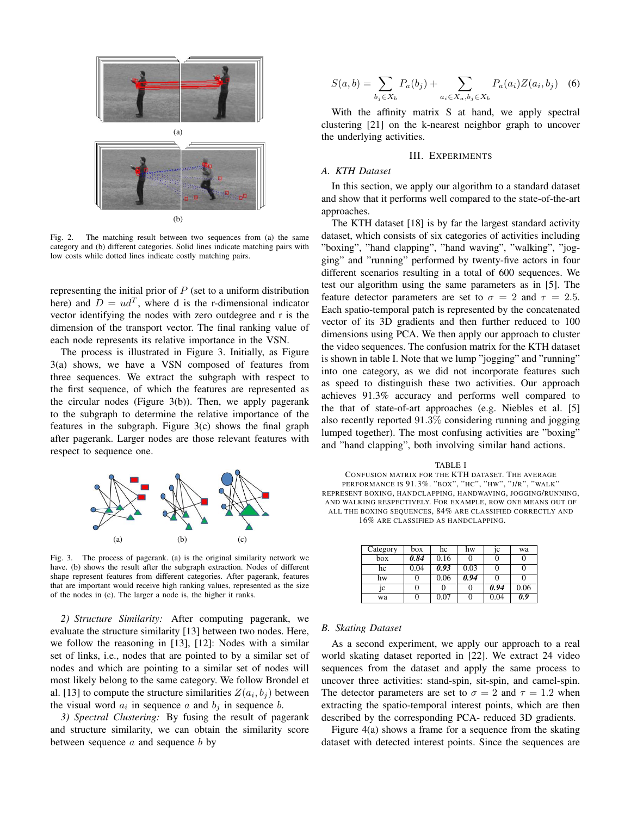

Fig. 2. The matching result between two sequences from (a) the same category and (b) different categories. Solid lines indicate matching pairs with low costs while dotted lines indicate costly matching pairs.

representing the initial prior of  $P$  (set to a uniform distribution here) and  $D = ud^T$ , where d is the r-dimensional indicator vector identifying the nodes with zero outdegree and r is the dimension of the transport vector. The final ranking value of each node represents its relative importance in the VSN.

The process is illustrated in Figure 3. Initially, as Figure 3(a) shows, we have a VSN composed of features from three sequences. We extract the subgraph with respect to the first sequence, of which the features are represented as the circular nodes (Figure 3(b)). Then, we apply pagerank to the subgraph to determine the relative importance of the features in the subgraph. Figure 3(c) shows the final graph after pagerank. Larger nodes are those relevant features with respect to sequence one.



Fig. 3. The process of pagerank. (a) is the original similarity network we have. (b) shows the result after the subgraph extraction. Nodes of different shape represent features from different categories. After pagerank, features that are important would receive high ranking values, represented as the size of the nodes in (c). The larger a node is, the higher it ranks.

*2) Structure Similarity:* After computing pagerank, we evaluate the structure similarity [13] between two nodes. Here, we follow the reasoning in [13], [12]: Nodes with a similar set of links, i.e., nodes that are pointed to by a similar set of nodes and which are pointing to a similar set of nodes will most likely belong to the same category. We follow Brondel et al. [13] to compute the structure similarities  $Z(a_i, b_j)$  between the visual word  $a_i$  in sequence a and  $b_j$  in sequence b.

*3) Spectral Clustering:* By fusing the result of pagerank and structure similarity, we can obtain the similarity score between sequence  $a$  and sequence  $b$  by

$$
S(a,b) = \sum_{b_j \in X_b} P_a(b_j) + \sum_{a_i \in X_a, b_j \in X_b} P_a(a_i) Z(a_i, b_j) \quad (6)
$$

With the affinity matrix S at hand, we apply spectral clustering [21] on the k-nearest neighbor graph to uncover the underlying activities.

# III. EXPERIMENTS

## *A. KTH Dataset*

In this section, we apply our algorithm to a standard dataset and show that it performs well compared to the state-of-the-art approaches.

The KTH dataset [18] is by far the largest standard activity dataset, which consists of six categories of activities including "boxing", "hand clapping", "hand waving", "walking", "jogging" and "running" performed by twenty-five actors in four different scenarios resulting in a total of 600 sequences. We test our algorithm using the same parameters as in [5]. The feature detector parameters are set to  $\sigma = 2$  and  $\tau = 2.5$ . Each spatio-temporal patch is represented by the concatenated vector of its 3D gradients and then further reduced to 100 dimensions using PCA. We then apply our approach to cluster the video sequences. The confusion matrix for the KTH dataset is shown in table I. Note that we lump "jogging" and "running" into one category, as we did not incorporate features such as speed to distinguish these two activities. Our approach achieves 91.3% accuracy and performs well compared to the that of state-of-art approaches (e.g. Niebles et al. [5] also recently reported 91.3% considering running and jogging lumped together). The most confusing activities are "boxing" and "hand clapping", both involving similar hand actions.

#### TABLE I

CONFUSION MATRIX FOR THE KTH DATASET. THE AVERAGE PERFORMANCE IS  $91.3\%$ . "BOX", "HC", "HW", "J/R", "WALK" REPRESENT BOXING, HANDCLAPPING, HANDWAVING, JOGGING/RUNNING, AND WALKING RESPECTIVELY. FOR EXAMPLE, ROW ONE MEANS OUT OF ALL THE BOXING SEQUENCES, 84% ARE CLASSIFIED CORRECTLY AND 16% ARE CLASSIFIED AS HANDCLAPPING.

| Category | box  | hc   | hw   | jс   | wa   |
|----------|------|------|------|------|------|
| box      | 0.84 | 0.16 | 0    |      |      |
| hc       | 0.04 | 0.93 | 0.03 |      |      |
| hw       |      | 0.06 | 0.94 |      |      |
| 1C       |      |      | 0    | 0.94 | 0.06 |
| wa       |      | 0.07 | 0    | 0.04 | 0.9  |

#### *B. Skating Dataset*

As a second experiment, we apply our approach to a real world skating dataset reported in [22]. We extract 24 video sequences from the dataset and apply the same process to uncover three activities: stand-spin, sit-spin, and camel-spin. The detector parameters are set to  $\sigma = 2$  and  $\tau = 1.2$  when extracting the spatio-temporal interest points, which are then described by the corresponding PCA- reduced 3D gradients.

Figure 4(a) shows a frame for a sequence from the skating dataset with detected interest points. Since the sequences are